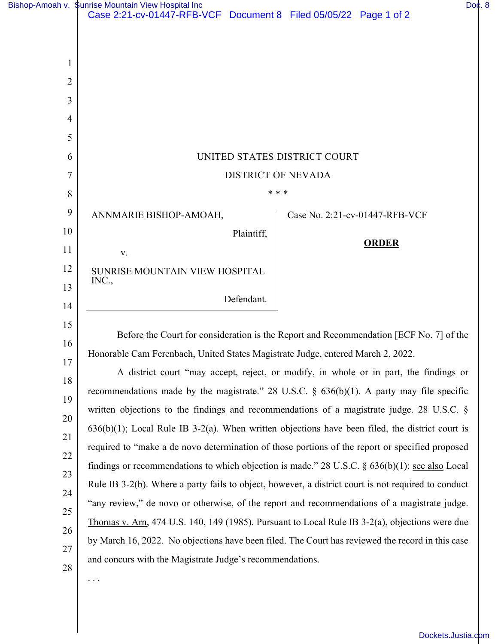|                | Bishop-Amoah v. \$unrise Mountain View Hospital Inc<br>Case 2:21-cv-01447-RFB-VCF Document 8 Filed 05/05/22 Page 1 of 2                                                                   |  |                                | Do¢.8 |  |
|----------------|-------------------------------------------------------------------------------------------------------------------------------------------------------------------------------------------|--|--------------------------------|-------|--|
|                |                                                                                                                                                                                           |  |                                |       |  |
|                |                                                                                                                                                                                           |  |                                |       |  |
| 1              |                                                                                                                                                                                           |  |                                |       |  |
| $\overline{2}$ |                                                                                                                                                                                           |  |                                |       |  |
| 3              |                                                                                                                                                                                           |  |                                |       |  |
| 4              |                                                                                                                                                                                           |  |                                |       |  |
| 5              |                                                                                                                                                                                           |  |                                |       |  |
| 6              | UNITED STATES DISTRICT COURT                                                                                                                                                              |  |                                |       |  |
| 7              | <b>DISTRICT OF NEVADA</b>                                                                                                                                                                 |  |                                |       |  |
| 8              | * * *                                                                                                                                                                                     |  |                                |       |  |
| 9              | ANNMARIE BISHOP-AMOAH,                                                                                                                                                                    |  | Case No. 2:21-cv-01447-RFB-VCF |       |  |
| 10             | Plaintiff,                                                                                                                                                                                |  |                                |       |  |
| 11             | V.                                                                                                                                                                                        |  | <b>ORDER</b>                   |       |  |
| 12             | SUNRISE MOUNTAIN VIEW HOSPITAL                                                                                                                                                            |  |                                |       |  |
| 13             | INC.,                                                                                                                                                                                     |  |                                |       |  |
| 14             | Defendant.                                                                                                                                                                                |  |                                |       |  |
| 15             |                                                                                                                                                                                           |  |                                |       |  |
| 16             | Before the Court for consideration is the Report and Recommendation [ECF No. 7] of the<br>Honorable Cam Ferenbach, United States Magistrate Judge, entered March 2, 2022.                 |  |                                |       |  |
| 17             | A district court "may accept, reject, or modify, in whole or in part, the findings or                                                                                                     |  |                                |       |  |
| 18             |                                                                                                                                                                                           |  |                                |       |  |
| 19             | recommendations made by the magistrate." 28 U.S.C. $\S$ 636(b)(1). A party may file specific<br>written objections to the findings and recommendations of a magistrate judge. 28 U.S.C. § |  |                                |       |  |
| 20             | $636(b)(1)$ ; Local Rule IB 3-2(a). When written objections have been filed, the district court is                                                                                        |  |                                |       |  |
| 21             | required to "make a de novo determination of those portions of the report or specified proposed                                                                                           |  |                                |       |  |
| 22             | findings or recommendations to which objection is made." 28 U.S.C. $\S$ 636(b)(1); see also Local                                                                                         |  |                                |       |  |
| 23             | Rule IB 3-2(b). Where a party fails to object, however, a district court is not required to conduct                                                                                       |  |                                |       |  |
| 24             | "any review," de novo or otherwise, of the report and recommendations of a magistrate judge.                                                                                              |  |                                |       |  |
| 25             | Thomas v. Arn, 474 U.S. 140, 149 (1985). Pursuant to Local Rule IB 3-2(a), objections were due                                                                                            |  |                                |       |  |
| 26             | by March 16, 2022. No objections have been filed. The Court has reviewed the record in this case                                                                                          |  |                                |       |  |
| 27             | and concurs with the Magistrate Judge's recommendations.                                                                                                                                  |  |                                |       |  |
| 28             | .                                                                                                                                                                                         |  |                                |       |  |
|                |                                                                                                                                                                                           |  |                                |       |  |
|                |                                                                                                                                                                                           |  |                                |       |  |

[Dockets.Justia.com](https://dockets.justia.com/)